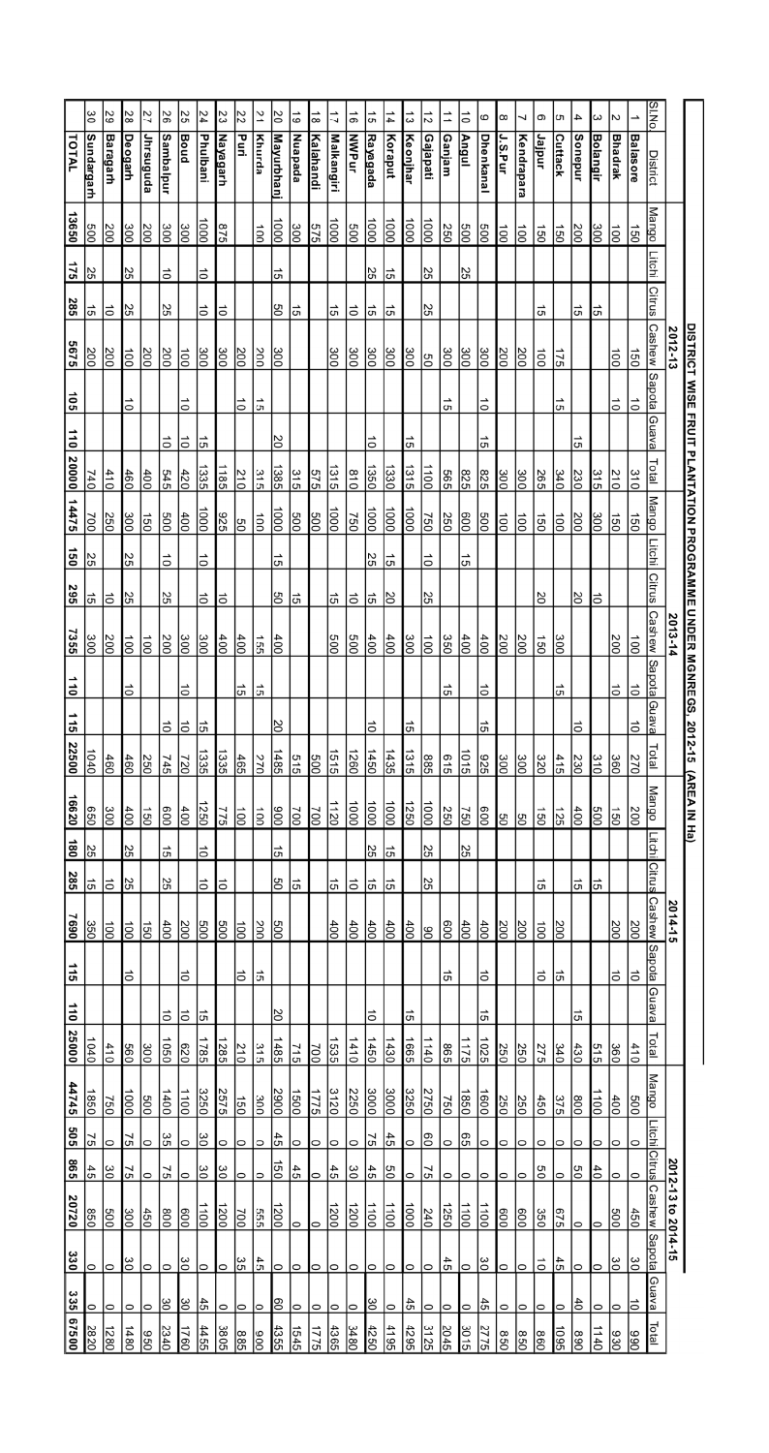|                      | ခြ                 | 29               | ಜ                          | 27                | 92               | $\overline{55}$           | $\frac{24}{3}$       | 23               | 72               | $\overline{21}$      | $\frac{20}{2}$              | $\vec{6}$        | $\frac{1}{8}$             | 17                           | $\vec{0}$     | $\frac{1}{5}$      | $\frac{1}{4}$      | $\Xi$                   | $\frac{1}{2}$            | 二                | $\overline{\circ}$ | 6                | 8                | ┙                | Θ               | c                 | 4                 | ယ               | lN                      | →                       | <b>ON'IS</b>            |                    |                                             |
|----------------------|--------------------|------------------|----------------------------|-------------------|------------------|---------------------------|----------------------|------------------|------------------|----------------------|-----------------------------|------------------|---------------------------|------------------------------|---------------|--------------------|--------------------|-------------------------|--------------------------|------------------|--------------------|------------------|------------------|------------------|-----------------|-------------------|-------------------|-----------------|-------------------------|-------------------------|-------------------------|--------------------|---------------------------------------------|
| TOTAL                | <b>Sundargarh</b>  | <b>Baragarh</b>  | <u>Deogarh</u>             | Jhrsuguda         | <b>Sambalpur</b> | <b>Boud</b>               | Phulbani             | <u>Nayagarh</u>  | Puri             | Khurda               | <u>Mayurbhan</u>            | Nuapada          | Kalahandi                 | <u>Malkangiri</u>            | <b>NWPur</b>  | <u>Rayagada</u>    | Koraput            | <b>Keonjhar</b>         | Gajapati                 | Ganjam           | Angul              | <u>Dhenkana</u>  | J.S.Pur          | Kendrapara       | Jajpur          | <b>Cuttack</b>    | <b>Sonepur</b>    | <u>Bolangir</u> | <b>Bhadrak</b>          | <b>Balasore</b>         | <b>District</b>         |                    |                                             |
| 13650                | $\overline{009}$   | 200              | 300                        | $\frac{200}{2}$   | 300              | $\frac{300}{2}$           | <br> <br>            | 975              |                  | $\overline{00}$      | $\frac{1000}{\pi}$          | 300              | 575                       | ē                            | 009           | $\overline{000}$   | $\frac{1000}{\pi}$ | $\frac{1000}{\sqrt{2}}$ | $\overline{000}$         | 250              | $\frac{500}{5}$    | ခြိ              | $\frac{1}{100}$  | lŝ               | 150             | $\frac{150}{2}$   | $\frac{200}{200}$ | $\frac{300}{2}$ | İs                      | $\frac{150}{2}$         | <b>Mango</b>            |                    |                                             |
| 175                  | ပ္ပ                |                  | 25                         |                   | đ                |                           | đ                    |                  |                  |                      | $\overline{5}$              |                  |                           |                              |               | 25                 | $\overline{5}$     |                         | 25                       |                  | 25                 |                  |                  |                  |                 |                   |                   |                 |                         |                         | litin                   |                    |                                             |
| 285                  | $\frac{15}{2}$     | $\overline{0}$   | လျ                         |                   | 25               |                           | $\overrightarrow{0}$ | ਠੇ               |                  |                      | 80                          | ကြ               |                           | $\frac{1}{2}$                | $\vec{o}$     | 녀                  | $\overline{5}$     |                         | 25                       |                  |                    |                  |                  |                  | 5               |                   | $\overline{5}$    | 15              |                         |                         | Citrus                  |                    |                                             |
| 5675                 | $\frac{200}{20}$   | 200              | $\overline{100}$           | $\frac{200}{200}$ | 200              | loo                       | 300                  | 300              | $\frac{200}{20}$ | 200                  | 300                         |                  |                           | $\frac{300}{20}$             | 300           | $\frac{300}{20}$   | $\frac{300}{200}$  | $\frac{300}{2}$         | ၉၁                       | 300              | $\frac{300}{20}$   | 30               | $\overline{500}$ | $\frac{200}{20}$ | $\overline{0}0$ | $\frac{175}{2}$   |                   |                 | İõ                      | 150                     | Cashew                  | 2012-13            | <b>DISTRICT WISE</b>                        |
| <b>SOL</b>           |                    |                  | $\vec{0}$                  |                   |                  | $\vec{0}$                 |                      |                  | $\vec{0}$        | 45                   |                             |                  |                           |                              |               |                    |                    |                         |                          | ς,               |                    | $\vec{0}$        |                  |                  |                 | $\frac{1}{5}$     |                   |                 | $\vec{0}$               | $\overline{\mathsf{c}}$ | Sapota                  |                    |                                             |
|                      |                    |                  |                            |                   | $\vec{o}$        | $\vec{0}$                 | $\overrightarrow{5}$ |                  |                  |                      | $\overline{0}$              |                  |                           |                              |               | ᇹ                  |                    | cл                      |                          |                  |                    | G                |                  |                  |                 |                   | S                 |                 |                         |                         | Guava                   |                    |                                             |
| 110 20000            | 740                | 410              | $\frac{460}{2}$            | $\frac{400}{2}$   | 545              | $\frac{420}{5}$           | 1335                 | 1185             | $rac{210}{2}$    | 315                  | 1385                        | $\frac{31}{5}$   | 575                       | $\frac{1315}{2}$             | 018           | 1350               | 1330               | 1315                    | 1100                     | 565              | 825                | 825              | $\frac{300}{20}$ | 30               | 265             | 340               | $\frac{230}{20}$  | 315             | $rac{210}{2}$           | $\frac{310}{10}$        | Total                   |                    |                                             |
| 14475                | 002                | 250              | 30                         | $\frac{150}{2}$   | 009              | $\frac{400}{2}$           | <u>le</u>            | 375              | ခြ               | 001                  | $\overline{\frac{1000}{2}}$ | g<br> 3          | 500                       | <br> a                       | 750           | $\overline{000}$   | $\frac{100}{100}$  | $\frac{1000}{\sqrt{2}}$ | 750                      | 250              | $\frac{1}{6}$      | <b>SOO</b>       | $\overline{50}$  | lŝ               | 150             | $\frac{100}{2}$   | $\frac{200}{20}$  | 300             | 150                     | 150                     | Mango                   |                    | <b>FRUIT PLANTATION PROGRAMME UNDER MGN</b> |
| 150                  | 25                 |                  | 25                         |                   | $\vec{0}$        |                           | $\vec{0}$            |                  |                  |                      | ά,                          |                  |                           |                              |               | N<br>S             | $\frac{1}{9}$      |                         | $\vec{0}$                |                  | ς μ                |                  |                  |                  |                 |                   |                   |                 |                         |                         | <b>Litchi</b>           |                    |                                             |
| 295                  | 하                  | $\overline{a}$   | ľЯ                         |                   | 25               |                           | $\vec{0}$            | ਠੋ               |                  |                      | 80                          | 녀                |                           | $\frac{1}{5}$                | ō             | 하                  | SQ                 |                         | 25                       |                  |                    |                  |                  |                  | 2Q              |                   | 8                 | 15              |                         |                         | Citrus                  |                    |                                             |
| 7355                 | $\frac{300}{2}$    | 200              | $\frac{100}{2}$            | İs                | 200              | 300                       | $\frac{300}{5}$      | $\frac{400}{2}$  | $\frac{400}{2}$  | 55                   | $\frac{400}{2}$             |                  |                           | $\overline{500}$             | 009           | 400                | $\frac{400}{20}$   | $rac{300}{2}$           | $\overline{5}$           | 350              | $\frac{400}{2}$    | $\frac{400}{2}$  | $\frac{200}{2}$  | $\frac{200}{2}$  | $\overline{0}$  | $\frac{300}{2}$   |                   |                 | $\frac{200}{2}$         | $\frac{1}{100}$         | <b>Cashew</b>           | 2013-14            |                                             |
| $\overline{\bullet}$ |                    |                  | $\overrightarrow{0}$       |                   |                  | $\vec{0}$                 |                      |                  | $\frac{15}{2}$   | $\overrightarrow{c}$ |                             |                  |                           |                              |               |                    |                    |                         |                          | 45               |                    | $\vec{0}$        |                  |                  |                 | $\frac{15}{2}$    |                   |                 | $\overline{\mathsf{d}}$ | $\vec{0}$               | Sap <sub>1</sub><br>pça |                    | REGS,                                       |
| 115                  |                    |                  |                            |                   | ਰੋ               | ō                         | $\overline{5}$       |                  |                  |                      | $\overline{50}$             |                  |                           |                              |               | $\vec{0}$          |                    | G)                      |                          |                  |                    | G)               |                  |                  |                 |                   | $\vec{0}$         |                 |                         | ō                       | Guava                   |                    |                                             |
| 22500                | $\frac{1040}{1}$   | 460              | $\frac{460}{2}$            | 250               | 745              | $\overline{\frac{220}{}}$ | $\frac{1335}{25}$    | 1335             | $\frac{465}{2}$  | 270                  | $\frac{1485}{2}$            | $\frac{5}{15}$   | 500                       | $\frac{1515}{25}$            | 1260          | 1450               | $\frac{1435}{25}$  | 1315                    | 885                      | 919              | 1015               | $\frac{925}{25}$ | $\frac{300}{2}$  | $\frac{300}{2}$  | 320             | $rac{415}{15}$    | 230               | $\frac{310}{2}$ | ခြိ                     | 270                     | Total                   |                    | 2012-15                                     |
| 16620                | $\overline{0}$     | $rac{300}{2}$    | $\frac{400}{200}$          | $\frac{150}{2}$   | $\overline{009}$ | $\frac{400}{2}$           | 250                  | 775              | İs               | $\frac{1}{100}$      | $\frac{6}{100}$             | 200              | $\overline{\frac{50}{2}}$ | $\frac{1120}{20}$            | 000           | $\frac{1000}{\pi}$ | $\frac{1000}{100}$ | 1250                    | $\frac{1000}{\pi}$       | $\frac{250}{20}$ | $\frac{750}{2}$    | ခြွ              | ျွင              | 양                | go              | $\frac{125}{25}$  | $\frac{400}{2}$   | 009             | 13                      | $\frac{200}{2}$         | Mango                   |                    | <u>(AREA IN Ha)</u>                         |
| 180                  | SS <sub>2</sub>    |                  | 55                         |                   | 5ł               |                           | $\vec{0}$            |                  |                  |                      | $\overline{5}$              |                  |                           |                              |               | 25                 | უ                  |                         | 25                       |                  | 59                 |                  |                  |                  |                 |                   |                   |                 |                         |                         | Litchi                  |                    |                                             |
| 285                  | 녀                  | lə               | ਲ                          |                   | 25               |                           | to                   | ਰੋ               |                  |                      | 80                          | ကြ               |                           | $\frac{1}{2}$                | $\vec{o}$     | 능                  | $\frac{1}{9}$      |                         | 25                       |                  |                    |                  |                  |                  | 5               |                   | 45                | $\frac{1}{9}$   |                         |                         | Citrus                  |                    |                                             |
| 1690                 | 350                | İã               | İŝ                         | lg<br>S           | $\frac{400}{2}$  | $\frac{200}{200}$         | <b>S</b>             | <b>SOO</b>       | İā               | $\frac{200}{200}$    | 800                         |                  |                           | 100                          | $rac{400}{1}$ | 16                 | $\frac{400}{2}$    | $\frac{400}{2}$         | 80                       | ခြိ              | $\frac{40}{3}$     | $\frac{4}{100}$  | 200              | $\frac{8}{2}$    | $\overline{5}$  | $\frac{200}{200}$ |                   |                 | $\frac{200}{200}$       | $rac{200}{\pi}$         | <b>Cashew</b>           | 2014-15            |                                             |
| 112                  |                    |                  | 15                         |                   |                  | ਠੋ                        |                      |                  | ਠ                | $\overrightarrow{5}$ |                             |                  |                           |                              |               |                    |                    |                         |                          | 45               |                    | 15               |                  |                  | ਠੋ              | $\frac{15}{2}$    |                   |                 | 15                      | 15                      | <b>Sapota</b>           |                    |                                             |
| 110                  |                    |                  |                            |                   | ō                | ō                         | ।ज                   |                  |                  |                      | SO                          |                  |                           |                              |               | ਠੋ                 |                    | $\overline{\mathtt{G}}$ |                          |                  |                    | $\frac{1}{9}$    |                  |                  |                 |                   | 5                 |                 |                         |                         | <b>Guava</b>            |                    |                                             |
| 25000                | $\frac{1040}{100}$ | 410              | <b>S60</b>                 | $\frac{8}{20}$    | 090              | $\frac{620}{5}$           | 1785                 | 1285             | $rac{210}{2}$    | 315                  | $\frac{1485}{ }$            | $\frac{715}{2}$  | 700                       | $\frac{1535}{2}$             | 1410          | $\frac{1450}{2}$   | $\frac{1430}{2}$   | 1665                    | 1140                     | <b>992</b>       | 1175               | $\frac{1025}{2}$ | 250              | 250              | 275             | $rac{340}{2}$     | $\frac{430}{2}$   | 515             | $\frac{360}{20}$        | $\frac{410}{2}$         | Total                   |                    |                                             |
| 44745                | $\frac{1850}{2}$   | 750              | $\frac{1000}{\frac{1}{2}}$ | 8                 | $\frac{1400}{1}$ | $\frac{1100}{ }$          | 3250                 | 2575             | 150              | 300                  | 2900                        | $\frac{1}{2}$    | 1775                      | $\frac{3120}{2}$             | 2250          | $rac{8}{100}$      | 3000               | 3250                    | 2750                     | 750              | $\frac{1850}{20}$  | $\frac{1}{100}$  | 250              | 250              | $\frac{450}{2}$ | 375               | 80                | $\frac{100}{2}$ | $\frac{400}{200}$       | <b>SOC</b>              | Mango                   |                    |                                             |
| 505                  | 75                 | $\circ$          | lഗ                         | ⇔                 | $\frac{35}{2}$   | ⇔                         | မ                    | O                | ∣⇔               | $\circ$              | $\frac{4}{6}$               | ∣⇔               | $\circ$                   | ∣⇔                           | $\circ$       | 12                 | $\frac{4.5}{2}$    | 0                       | $\overline{0}$           | $\circ$          | ခြ                 | ∣⊂               | 0                | ∣⊂               | $\circ$         | $\circ$           | ∣⇔                | $\circ$         | 0                       | $\circ$                 | <u>Litchi</u>           |                    |                                             |
| <b>S65</b>           | $\frac{4}{5}$      | $\frac{8}{2}$    | 75                         | $\circ$           | $\overline{5}$   | $\circ$                   | ဗ                    | $\frac{30}{2}$   | $\circ$          | $\circ$              | $\overline{9}$              | $\frac{4}{5}$    | $\circ$                   | $\frac{4}{2}$                | 30            | $\frac{4}{5}$      | 99                 | $\circ$                 | $\frac{2}{5}$            | $\circ$          | ⇔                  | ∣⊂               | $\circ$          | ∣⇔               | 90              | $\circ$           | ခြ                | $^{40}$         | $\circ$                 | $\circ$                 | Citrus                  |                    |                                             |
| 20720                | 850                | $\frac{500}{5}$  | 300                        | $\frac{450}{2}$   | 008              | ခြိ                       | <u>le</u>            | $\overline{002}$ | 200              | 555                  | $\frac{1200}{200}$          | lo               | $\circ$                   | $\overline{\frac{200}{200}}$ | 0021          | <u>Isto</u>        | $\frac{110}{2}$    | $\overline{1000}$       | 240                      | 1250             | $\frac{1}{2}$      | Ē                | $\overline{00}$  | ခြိ              | 350             | 675               | lo                | $\circ$         | <b>SOC</b>              | $\frac{450}{2}$         | Cashew                  | 2012-13 to 2014-15 |                                             |
| ္ယ<br>$\frac{1}{2}$  |                    |                  |                            |                   |                  |                           |                      |                  |                  |                      |                             |                  |                           |                              |               |                    |                    |                         |                          |                  |                    |                  |                  |                  |                 | $  \circ   \circ$ |                   | $\circ$         | 8 8                     |                         | Sapot<br> ¤             |                    |                                             |
| $\frac{335}{2}$      |                    | $\circ$ $\circ$  | $  \circ   \circ$          |                   | ଞ                | 8                         | $\frac{45}{10}$      | 0 0              |                  |                      | $\overline{5}$              | ∣⇔               | $\circ$ $\circ$           |                              | $\circ$       | <u> ଞ</u>          | $\circ$            |                         | $\frac{1}{\frac{1}{10}}$ |                  | $\circ$            | 15               | $\circ$          | 0                |                 | $\circ$           | $ \xi $           | $\circ$         | lo                      | 1                       | Guava                   |                    |                                             |
| 00929                | 2820               | $\frac{1280}{2}$ | $\frac{1480}{2}$           | 80                | $rac{2340}{2}$   | 1760                      | 4455                 | 3805             | 885              | $\frac{1}{8}$        | 4355                        | $\frac{1545}{2}$ | 1775                      | $\frac{4365}{200}$           | 3480          | 4250               | 4195               | $\frac{4295}{2}$        | 3125                     | 2045             | 3015               | 2775             | 850              | 850              | $\sqrt{8}$      | 1095              | $\frac{8}{8}$     | 1140            | 830                     | 890                     | Total                   |                    |                                             |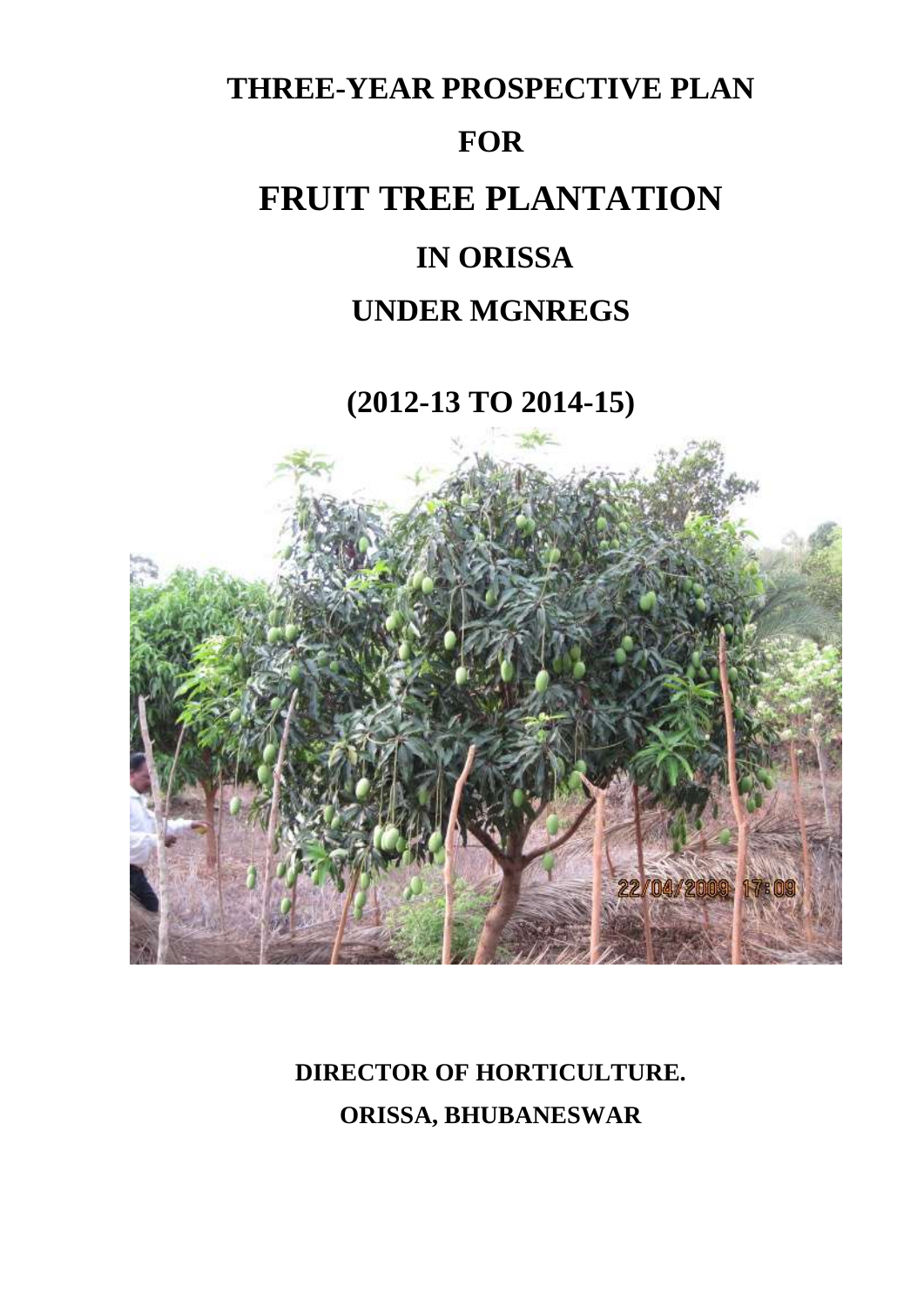

**(2012-13 TO 2014-15)**



# **DIRECTOR OF HORTICULTURE. ORISSA, BHUBANESWAR**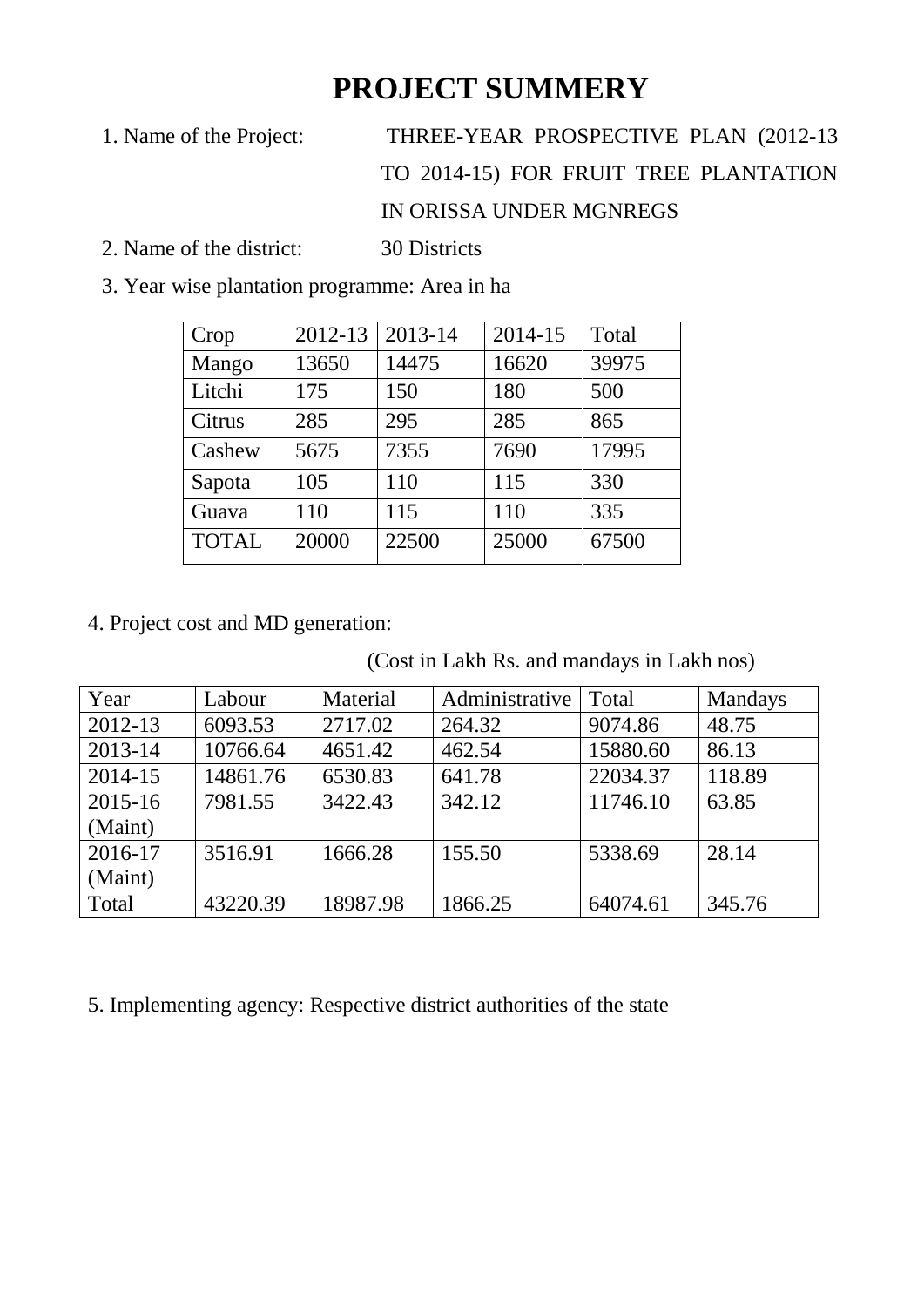# **PROJECT SUMMERY**

- 1. Name of the Project: THREE-YEAR PROSPECTIVE PLAN (2012-13 TO 2014-15) FOR FRUIT TREE PLANTATION IN ORISSA UNDER MGNREGS
- 2. Name of the district: 30 Districts
- 3. Year wise plantation programme: Area in ha

| Crop         | 2012-13 | 2013-14 | 2014-15 | Total |
|--------------|---------|---------|---------|-------|
| Mango        | 13650   | 14475   | 16620   | 39975 |
| Litchi       | 175     | 150     | 180     | 500   |
| Citrus       | 285     | 295     | 285     | 865   |
| Cashew       | 5675    | 7355    | 7690    | 17995 |
| Sapota       | 105     | 110     | 115     | 330   |
| Guava        | 110     | 115     | 110     | 335   |
| <b>TOTAL</b> | 20000   | 22500   | 25000   | 67500 |

4. Project cost and MD generation:

(Cost in Lakh Rs. and mandays in Lakh nos)

| Year        | Labour   | Material | Administrative | Total    | <b>Mandays</b> |
|-------------|----------|----------|----------------|----------|----------------|
| 2012-13     | 6093.53  | 2717.02  | 264.32         | 9074.86  | 48.75          |
| 2013-14     | 10766.64 | 4651.42  | 462.54         | 15880.60 | 86.13          |
| 2014-15     | 14861.76 | 6530.83  | 641.78         | 22034.37 | 118.89         |
| $2015 - 16$ | 7981.55  | 3422.43  | 342.12         | 11746.10 | 63.85          |
| (Maint)     |          |          |                |          |                |
| 2016-17     | 3516.91  | 1666.28  | 155.50         | 5338.69  | 28.14          |
| (Maint)     |          |          |                |          |                |
| Total       | 43220.39 | 18987.98 | 1866.25        | 64074.61 | 345.76         |

5. Implementing agency: Respective district authorities of the state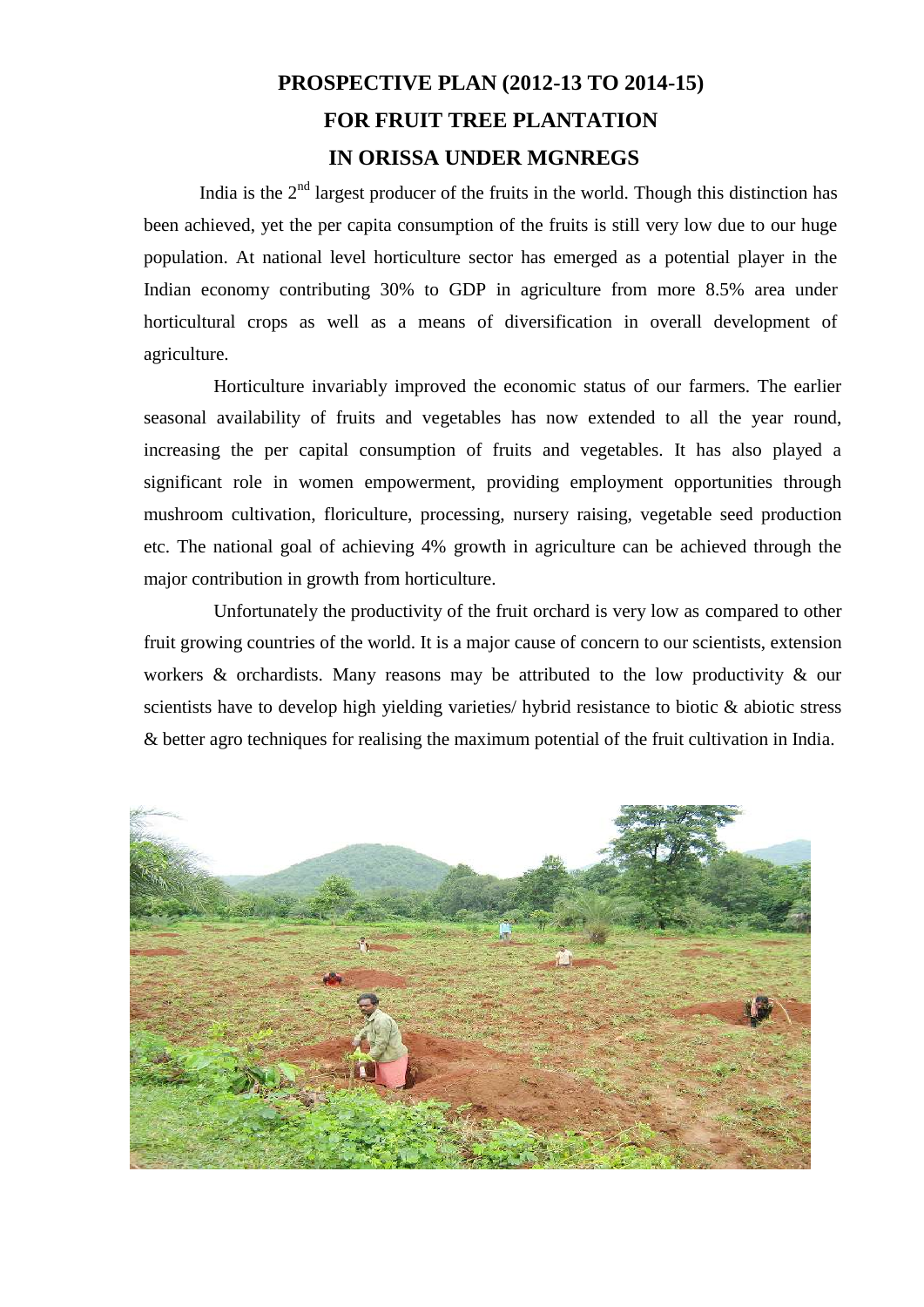## **PROSPECTIVE PLAN (2012-13 TO 2014-15) FOR FRUIT TREE PLANTATION IN ORISSA UNDER MGNREGS**

India is the  $2<sup>nd</sup>$  largest producer of the fruits in the world. Though this distinction has been achieved, yet the per capita consumption of the fruits is still very low due to our huge population. At national level horticulture sector has emerged as a potential player in the Indian economy contributing 30% to GDP in agriculture from more 8.5% area under horticultural crops as well as a means of diversification in overall development of agriculture.

Horticulture invariably improved the economic status of our farmers. The earlier seasonal availability of fruits and vegetables has now extended to all the year round, increasing the per capital consumption of fruits and vegetables. It has also played a significant role in women empowerment, providing employment opportunities through mushroom cultivation, floriculture, processing, nursery raising, vegetable seed production etc. The national goal of achieving 4% growth in agriculture can be achieved through the major contribution in growth from horticulture.

Unfortunately the productivity of the fruit orchard is very low as compared to other fruit growing countries of the world. It is a major cause of concern to our scientists, extension workers & orchardists. Many reasons may be attributed to the low productivity & our scientists have to develop high yielding varieties/ hybrid resistance to biotic & abiotic stress & better agro techniques for realising the maximum potential of the fruit cultivation in India.

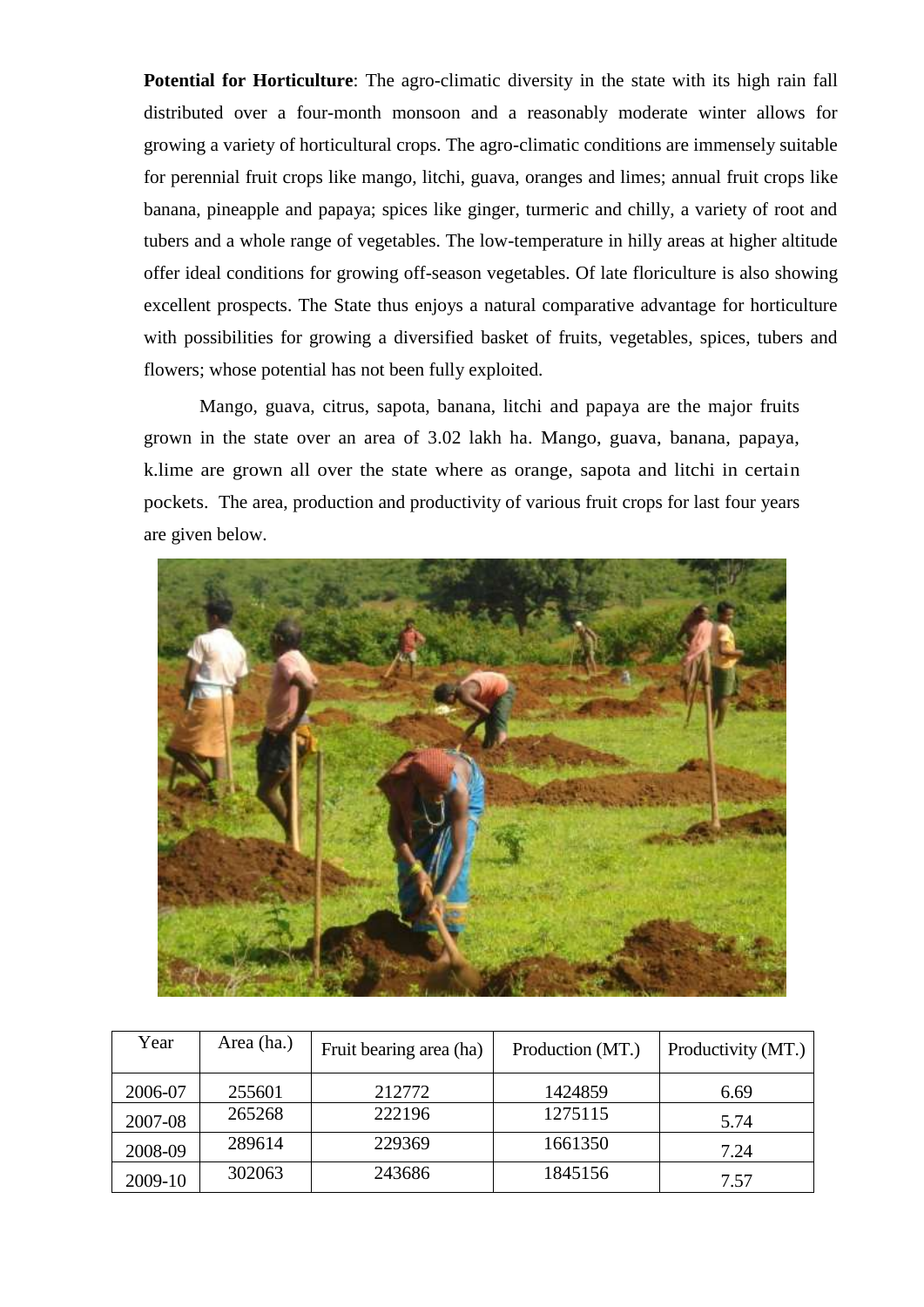**Potential for Horticulture**: The agro-climatic diversity in the state with its high rain fall distributed over a four-month monsoon and a reasonably moderate winter allows for growing a variety of horticultural crops. The agro-climatic conditions are immensely suitable for perennial fruit crops like mango, litchi, guava, oranges and limes; annual fruit crops like banana, pineapple and papaya; spices like ginger, turmeric and chilly, a variety of root and tubers and a whole range of vegetables. The low-temperature in hilly areas at higher altitude offer ideal conditions for growing off-season vegetables. Of late floriculture is also showing excellent prospects. The State thus enjoys a natural comparative advantage for horticulture with possibilities for growing a diversified basket of fruits, vegetables, spices, tubers and flowers; whose potential has not been fully exploited.

Mango, guava, citrus, sapota, banana, litchi and papaya are the major fruits grown in the state over an area of 3.02 lakh ha. Mango, guava, banana, papaya, k.lime are grown all over the state where as orange, sapota and litchi in certain pockets. The area, production and productivity of various fruit crops for last four years are given below.



| Year    | Area (ha.) | Fruit bearing area (ha) | Production (MT.) | Productivity (MT.) |
|---------|------------|-------------------------|------------------|--------------------|
| 2006-07 | 255601     | 212772                  | 1424859          | 6.69               |
| 2007-08 | 265268     | 222196                  | 1275115          | 5.74               |
| 2008-09 | 289614     | 229369                  | 1661350          | 7.24               |
| 2009-10 | 302063     | 243686                  | 1845156          | 7.57               |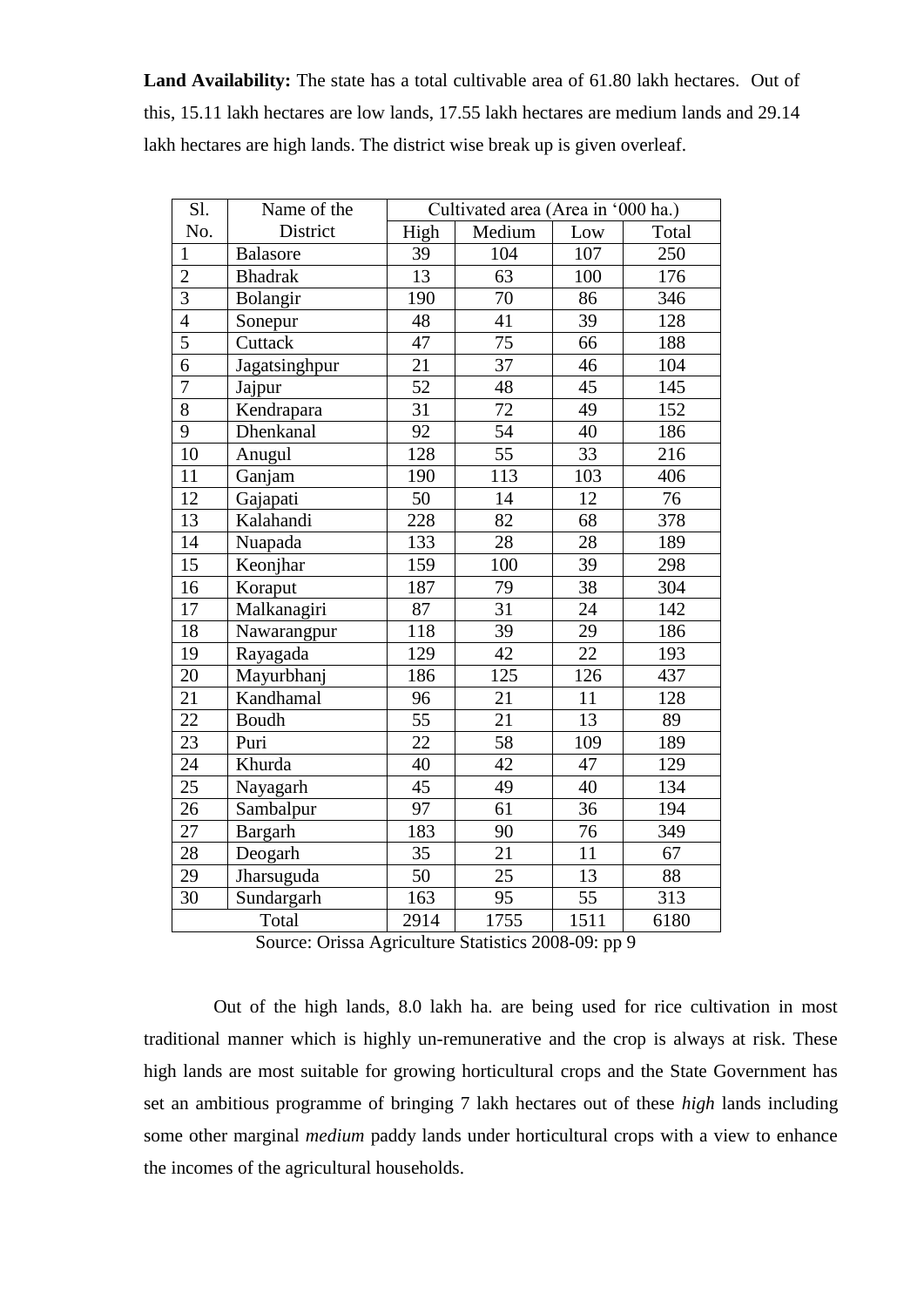**Land Availability:** The state has a total cultivable area of 61.80 lakh hectares. Out of this, 15.11 lakh hectares are low lands, 17.55 lakh hectares are medium lands and 29.14 lakh hectares are high lands. The district wise break up is given overleaf.

| Sl.            | Name of the     |      | Cultivated area (Area in '000 ha.) |      |       |
|----------------|-----------------|------|------------------------------------|------|-------|
| No.            | District        | High | Medium                             | Low  | Total |
| $\mathbf{1}$   | <b>Balasore</b> | 39   | 104                                | 107  | 250   |
| $\overline{2}$ | <b>Bhadrak</b>  | 13   | 63                                 | 100  | 176   |
| $\overline{3}$ | Bolangir        | 190  | 70                                 | 86   | 346   |
| $\overline{4}$ | Sonepur         | 48   | 41                                 | 39   | 128   |
| $\overline{5}$ | Cuttack         | 47   | $\overline{75}$                    | 66   | 188   |
| $\overline{6}$ | Jagatsinghpur   | 21   | 37                                 | 46   | 104   |
| $\overline{7}$ | Jajpur          | 52   | 48                                 | 45   | 145   |
| 8              | Kendrapara      | 31   | 72                                 | 49   | 152   |
| 9              | Dhenkanal       | 92   | $\overline{54}$                    | 40   | 186   |
| 10             | Anugul          | 128  | 55                                 | 33   | 216   |
| 11             | Ganjam          | 190  | 113                                | 103  | 406   |
| 12             | Gajapati        | 50   | 14                                 | 12   | 76    |
| 13             | Kalahandi       | 228  | 82                                 | 68   | 378   |
| 14             | Nuapada         | 133  | 28                                 | 28   | 189   |
| 15             | Keonjhar        | 159  | 100                                | 39   | 298   |
| 16             | Koraput         | 187  | 79                                 | 38   | 304   |
| 17             | Malkanagiri     | 87   | 31                                 | 24   | 142   |
| 18             | Nawarangpur     | 118  | 39                                 | 29   | 186   |
| 19             | Rayagada        | 129  | $\overline{42}$                    | 22   | 193   |
| 20             | Mayurbhanj      | 186  | 125                                | 126  | 437   |
| 21             | Kandhamal       | 96   | 21                                 | 11   | 128   |
| 22             | Boudh           | 55   | 21                                 | 13   | 89    |
| 23             | Puri            | 22   | 58                                 | 109  | 189   |
| 24             | Khurda          | 40   | 42                                 | 47   | 129   |
| 25             | Nayagarh        | 45   | 49                                 | 40   | 134   |
| 26             | Sambalpur       | 97   | $\overline{61}$                    | 36   | 194   |
| 27             | <b>Bargarh</b>  | 183  | 90                                 | 76   | 349   |
| 28             | Deogarh         | 35   | 21                                 | 11   | 67    |
| 29             | Jharsuguda      | 50   | 25                                 | 13   | 88    |
| 30             | Sundargarh      | 163  | 95                                 | 55   | 313   |
| Total          |                 | 2914 | 1755                               | 1511 | 6180  |

Source: Orissa Agriculture Statistics 2008-09: pp 9

Out of the high lands, 8.0 lakh ha. are being used for rice cultivation in most traditional manner which is highly un-remunerative and the crop is always at risk. These high lands are most suitable for growing horticultural crops and the State Government has set an ambitious programme of bringing 7 lakh hectares out of these *high* lands including some other marginal *medium* paddy lands under horticultural crops with a view to enhance the incomes of the agricultural households.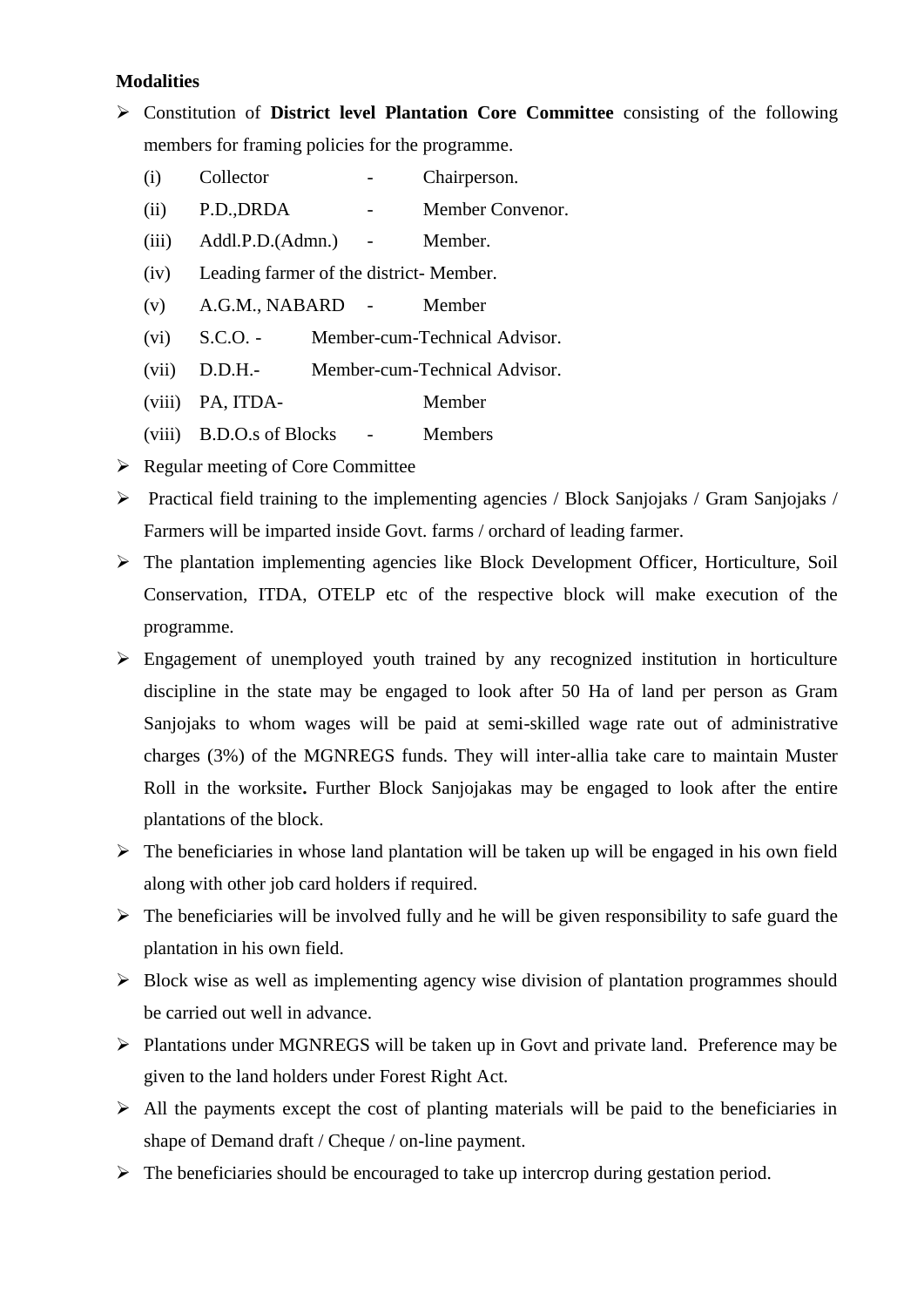#### **Modalities**

- Constitution of **District level Plantation Core Committee** consisting of the following members for framing policies for the programme.
	- (i) Collector Chairperson.
	- (ii) P.D.,DRDA Member Convenor.
	- (iii) Addl.P.D.(Admn.) Member.
	- (iv) Leading farmer of the district- Member.
	- (v) A.G.M., NABARD Member
	- (vi) S.C.O. Member-cum-Technical Advisor.
	- (vii) D.D.H.- Member-cum-Technical Advisor.
	- (viii) PA, ITDA- Member
	- (viii) B.D.O.s of Blocks Members
- $\triangleright$  Regular meeting of Core Committee
- Practical field training to the implementing agencies / Block Sanjojaks / Gram Sanjojaks / Farmers will be imparted inside Govt. farms / orchard of leading farmer.
- $\triangleright$  The plantation implementing agencies like Block Development Officer, Horticulture, Soil Conservation, ITDA, OTELP etc of the respective block will make execution of the programme.
- $\triangleright$  Engagement of unemployed youth trained by any recognized institution in horticulture discipline in the state may be engaged to look after 50 Ha of land per person as Gram Sanjojaks to whom wages will be paid at semi-skilled wage rate out of administrative charges (3%) of the MGNREGS funds. They will inter-allia take care to maintain Muster Roll in the worksite**.** Further Block Sanjojakas may be engaged to look after the entire plantations of the block.
- $\triangleright$  The beneficiaries in whose land plantation will be taken up will be engaged in his own field along with other job card holders if required.
- $\triangleright$  The beneficiaries will be involved fully and he will be given responsibility to safe guard the plantation in his own field.
- $\triangleright$  Block wise as well as implementing agency wise division of plantation programmes should be carried out well in advance.
- Plantations under MGNREGS will be taken up in Govt and private land. Preference may be given to the land holders under Forest Right Act.
- $\triangleright$  All the payments except the cost of planting materials will be paid to the beneficiaries in shape of Demand draft / Cheque / on-line payment.
- $\triangleright$  The beneficiaries should be encouraged to take up intercrop during gestation period.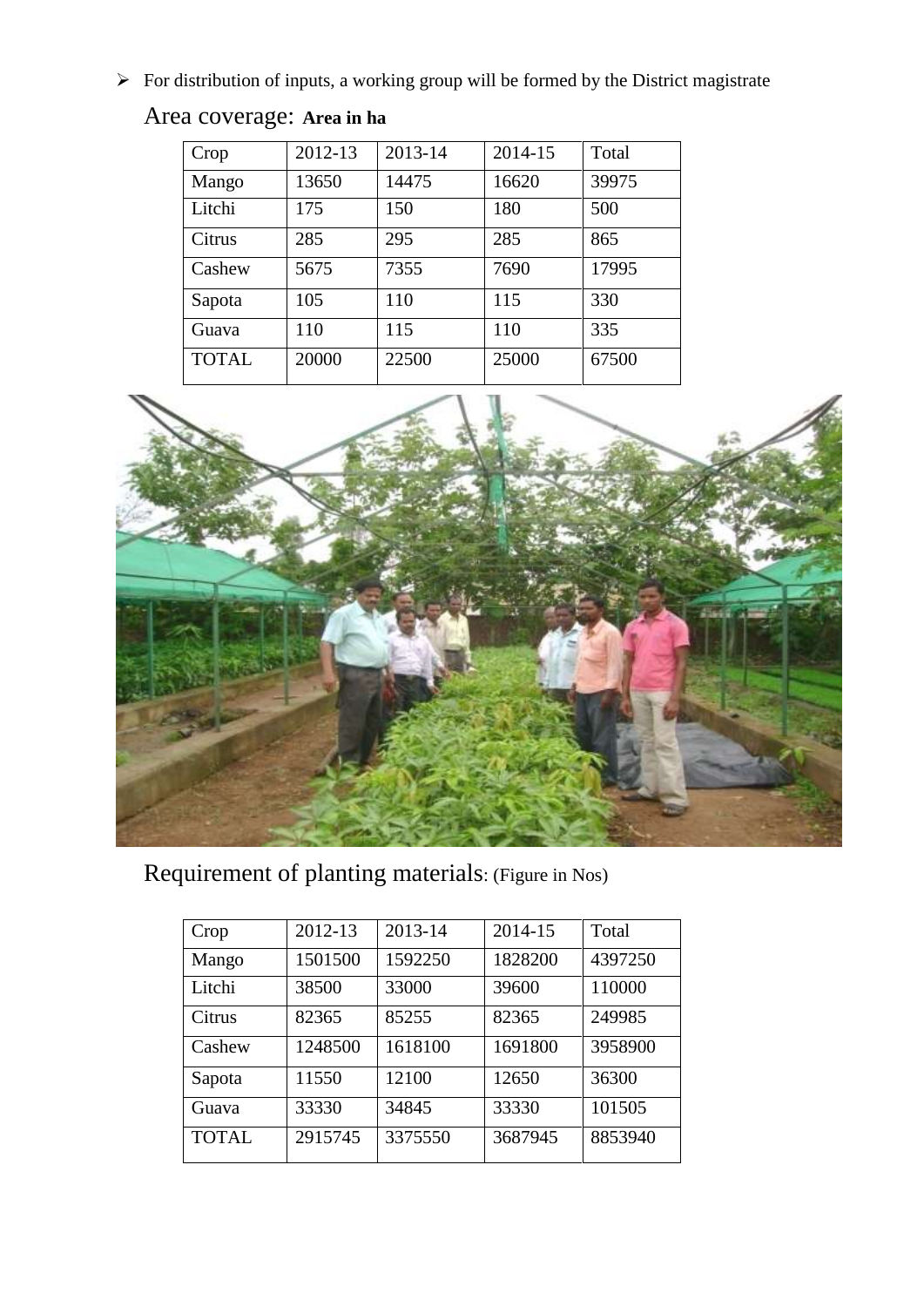$\triangleright$  For distribution of inputs, a working group will be formed by the District magistrate

| Crop         | 2012-13 | 2013-14 | 2014-15 | Total |
|--------------|---------|---------|---------|-------|
| Mango        | 13650   | 14475   | 16620   | 39975 |
| Litchi       | 175     | 150     | 180     | 500   |
| Citrus       | 285     | 295     | 285     | 865   |
| Cashew       | 5675    | 7355    | 7690    | 17995 |
| Sapota       | 105     | 110     | 115     | 330   |
| Guava        | 110     | 115     | 110     | 335   |
| <b>TOTAL</b> | 20000   | 22500   | 25000   | 67500 |





Requirement of planting materials: (Figure in Nos)

| Crop         | 2012-13 | 2013-14 | 2014-15 | Total   |
|--------------|---------|---------|---------|---------|
| Mango        | 1501500 | 1592250 | 1828200 | 4397250 |
| Litchi       | 38500   | 33000   | 39600   | 110000  |
| Citrus       | 82365   | 85255   | 82365   | 249985  |
| Cashew       | 1248500 | 1618100 | 1691800 | 3958900 |
| Sapota       | 11550   | 12100   | 12650   | 36300   |
| Guava        | 33330   | 34845   | 33330   | 101505  |
| <b>TOTAL</b> | 2915745 | 3375550 | 3687945 | 8853940 |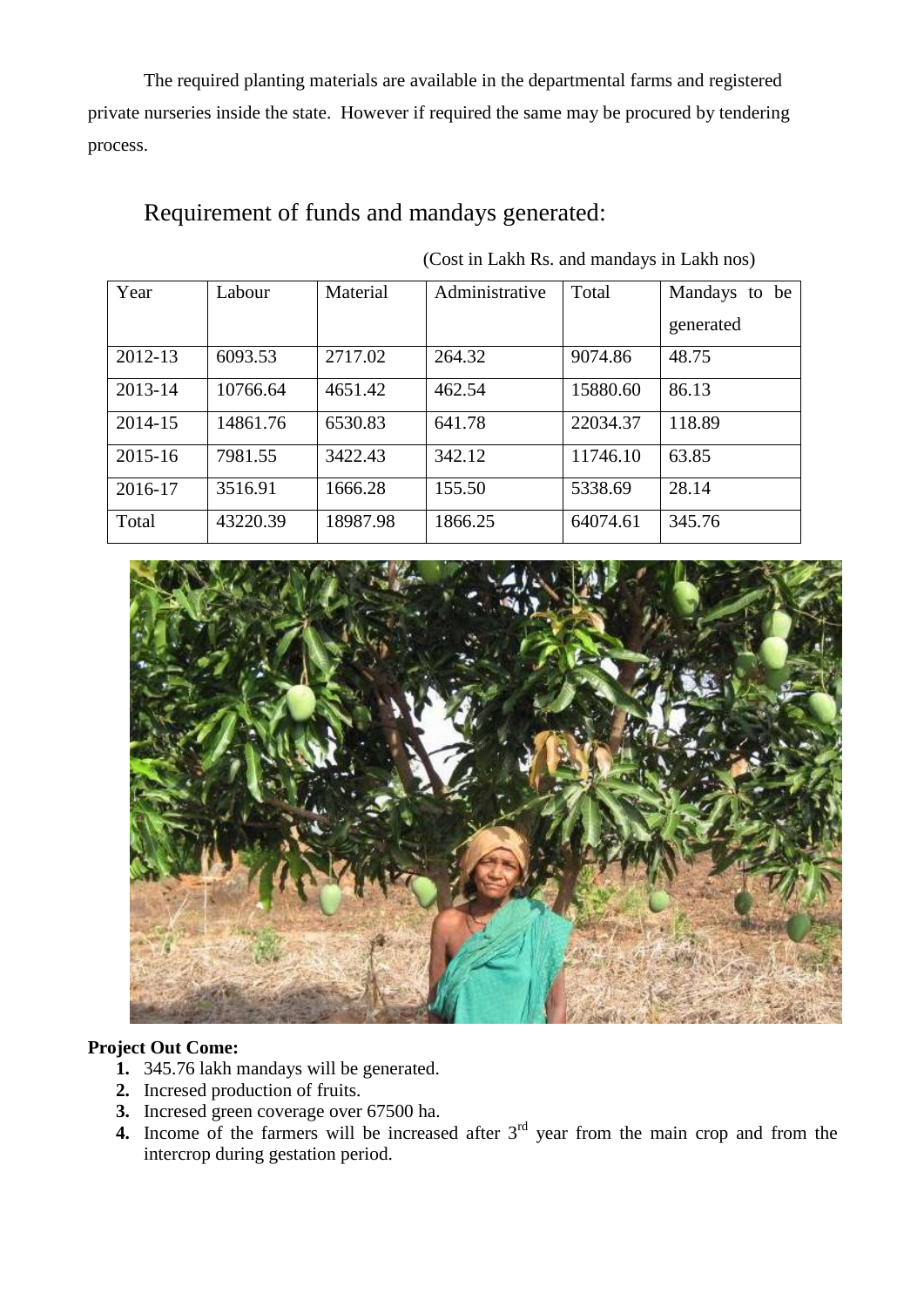The required planting materials are available in the departmental farms and registered private nurseries inside the state. However if required the same may be procured by tendering process.

### Requirement of funds and mandays generated:

| Year        | Labour   | Material | Administrative | Total    | Mandays to be |
|-------------|----------|----------|----------------|----------|---------------|
|             |          |          |                |          | generated     |
| 2012-13     | 6093.53  | 2717.02  | 264.32         | 9074.86  | 48.75         |
| 2013-14     | 10766.64 | 4651.42  | 462.54         | 15880.60 | 86.13         |
| 2014-15     | 14861.76 | 6530.83  | 641.78         | 22034.37 | 118.89        |
| $2015 - 16$ | 7981.55  | 3422.43  | 342.12         | 11746.10 | 63.85         |
| 2016-17     | 3516.91  | 1666.28  | 155.50         | 5338.69  | 28.14         |
| Total       | 43220.39 | 18987.98 | 1866.25        | 64074.61 | 345.76        |

(Cost in Lakh Rs. and mandays in Lakh nos)



#### **Project Out Come:**

- **1.** 345.76 lakh mandays will be generated.
- **2.** Incresed production of fruits.
- **3.** Incresed green coverage over 67500 ha.
- **4.** Income of the farmers will be increased after 3<sup>rd</sup> year from the main crop and from the intercrop during gestation period.